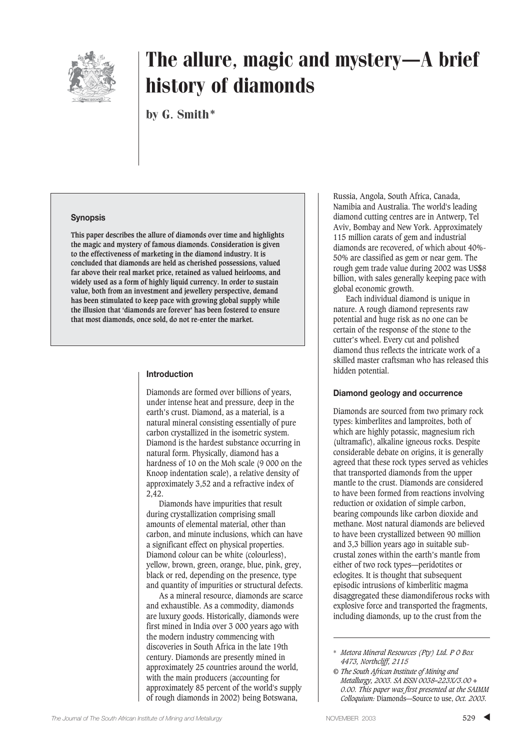

# The allure, magic and mystery—A brief history of diamonds

by G. Smith\*

#### **Synopsis**

**This paper describes the allure of diamonds over time and highlights the magic and mystery of famous diamonds. Consideration is given to the effectiveness of marketing in the diamond industry. It is concluded that diamonds are held as cherished possessions, valued far above their real market price, retained as valued heirlooms, and widely used as a form of highly liquid currency. In order to sustain value, both from an investment and jewellery perspective, demand has been stimulated to keep pace with growing global supply while the illusion that 'diamonds are forever' has been fostered to ensure that most diamonds, once sold, do not re-enter the market.** 

#### **Introduction**

Diamonds are formed over billions of years, under intense heat and pressure, deep in the earth's crust. Diamond, as a material, is a natural mineral consisting essentially of pure carbon crystallized in the isometric system. Diamond is the hardest substance occurring in natural form. Physically, diamond has a hardness of 10 on the Moh scale (9 000 on the Knoop indentation scale), a relative density of approximately 3,52 and a refractive index of 2,42.

Diamonds have impurities that result during crystallization comprising small amounts of elemental material, other than carbon, and minute inclusions, which can have a significant effect on physical properties. Diamond colour can be white (colourless), yellow, brown, green, orange, blue, pink, grey, black or red, depending on the presence, type and quantity of impurities or structural defects.

As a mineral resource, diamonds are scarce and exhaustible. As a commodity, diamonds are luxury goods. Historically, diamonds were first mined in India over 3 000 years ago with the modern industry commencing with discoveries in South Africa in the late 19th century. Diamonds are presently mined in approximately 25 countries around the world, with the main producers (accounting for approximately 85 percent of the world's supply of rough diamonds in 2002) being Botswana,

Russia, Angola, South Africa, Canada, Namibia and Australia. The world's leading diamond cutting centres are in Antwerp, Tel Aviv, Bombay and New York. Approximately 115 million carats of gem and industrial diamonds are recovered, of which about 40%- 50% are classified as gem or near gem. The rough gem trade value during 2002 was US\$8 billion, with sales generally keeping pace with global economic growth.

Each individual diamond is unique in nature. A rough diamond represents raw potential and huge risk as no one can be certain of the response of the stone to the cutter's wheel. Every cut and polished diamond thus reflects the intricate work of a skilled master craftsman who has released this hidden potential.

#### **Diamond geology and occurrence**

Diamonds are sourced from two primary rock types: kimberlites and lamproites, both of which are highly potassic, magnesium rich (ultramafic), alkaline igneous rocks. Despite considerable debate on origins, it is generally agreed that these rock types served as vehicles that transported diamonds from the upper mantle to the crust. Diamonds are considered to have been formed from reactions involving reduction or oxidation of simple carbon, bearing compounds like carbon dioxide and methane. Most natural diamonds are believed to have been crystallized between 90 million and 3,3 billion years ago in suitable subcrustal zones within the earth's mantle from either of two rock types—peridotites or eclogites. It is thought that subsequent episodic intrusions of kimberlitic magma disaggregated these diamondiferous rocks with explosive force and transported the fragments, including diamonds, up to the crust from the

<sup>\*</sup> *Metora Mineral Resources (Pty) Ltd. P O Box 4473, Northcliff, 2115*

*<sup>©</sup> The South African Institute of Mining and Metallurgy, 2003. SA ISSN 0038–223X/3.00 + 0.00. This paper was first presented at the SAIMM Colloquium:* Diamonds—Source to use, *Oct. 2003.*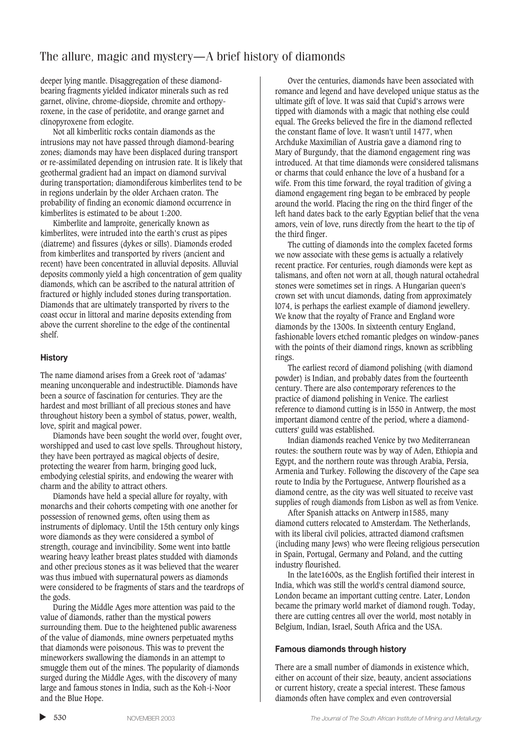## The allure, magic and mystery—A brief history of diamonds

deeper lying mantle. Disaggregation of these diamondbearing fragments yielded indicator minerals such as red garnet, olivine, chrome-diopside, chromite and orthopyroxene, in the case of peridotite, and orange garnet and clinopyroxene from eclogite.

Not all kimberlitic rocks contain diamonds as the intrusions may not have passed through diamond-bearing zones; diamonds may have been displaced during transport or re-assimilated depending on intrusion rate. It is likely that geothermal gradient had an impact on diamond survival during transportation; diamondiferous kimberlites tend to be in regions underlain by the older Archaen craton. The probability of finding an economic diamond occurrence in kimberlites is estimated to be about 1:200.

Kimberlite and lamproite, generically known as kimberlites, were intruded into the earth's crust as pipes (diatreme) and fissures (dykes or sills). Diamonds eroded from kimberlites and transported by rivers (ancient and recent) have been concentrated in alluvial deposits. Alluvial deposits commonly yield a high concentration of gem quality diamonds, which can be ascribed to the natural attrition of fractured or highly included stones during transportation. Diamonds that are ultimately transported by rivers to the coast occur in littoral and marine deposits extending from above the current shoreline to the edge of the continental shelf.

#### **History**

The name diamond arises from a Greek root of 'adamas' meaning unconquerable and indestructible. Diamonds have been a source of fascination for centuries. They are the hardest and most brilliant of all precious stones and have throughout history been a symbol of status, power, wealth, love, spirit and magical power.

Diamonds have been sought the world over, fought over, worshipped and used to cast love spells. Throughout history, they have been portrayed as magical objects of desire, protecting the wearer from harm, bringing good luck, embodying celestial spirits, and endowing the wearer with charm and the ability to attract others.

Diamonds have held a special allure for royalty, with monarchs and their cohorts competing with one another for possession of renowned gems, often using them as instruments of diplomacy. Until the 15th century only kings wore diamonds as they were considered a symbol of strength, courage and invincibility. Some went into battle wearing heavy leather breast plates studded with diamonds and other precious stones as it was believed that the wearer was thus imbued with supernatural powers as diamonds were considered to be fragments of stars and the teardrops of the gods.

During the Middle Ages more attention was paid to the value of diamonds, rather than the mystical powers surrounding them. Due to the heightened public awareness of the value of diamonds, mine owners perpetuated myths that diamonds were poisonous. This was to prevent the mineworkers swallowing the diamonds in an attempt to smuggle them out of the mines. The popularity of diamonds surged during the Middle Ages, with the discovery of many large and famous stones in India, such as the Koh-i-Noor and the Blue Hope.

Over the centuries, diamonds have been associated with romance and legend and have developed unique status as the ultimate gift of love. It was said that Cupid's arrows were tipped with diamonds with a magic that nothing else could equal. The Greeks believed the fire in the diamond reflected the constant flame of love. It wasn't until 1477, when Archduke Maximilian of Austria gave a diamond ring to Mary of Burgundy, that the diamond engagement ring was introduced. At that time diamonds were considered talismans or charms that could enhance the love of a husband for a wife. From this time forward, the royal tradition of giving a diamond engagement ring began to be embraced by people around the world. Placing the ring on the third finger of the left hand dates back to the early Egyptian belief that the vena amors, vein of love, runs directly from the heart to the tip of the third finger.

The cutting of diamonds into the complex faceted forms we now associate with these gems is actually a relatively recent practice. For centuries, rough diamonds were kept as talismans, and often not worn at all, though natural octahedral stones were sometimes set in rings. A Hungarian queen's crown set with uncut diamonds, dating from approximately l074, is perhaps the earliest example of diamond jewellery. We know that the royalty of France and England wore diamonds by the 1300s. In sixteenth century England, fashionable lovers etched romantic pledges on window-panes with the points of their diamond rings, known as scribbling rings.

The earliest record of diamond polishing (with diamond powder) is Indian, and probably dates from the fourteenth century. There are also contemporary references to the practice of diamond polishing in Venice. The earliest reference to diamond cutting is in l550 in Antwerp, the most important diamond centre of the period, where a diamondcutters' guild was established.

Indian diamonds reached Venice by two Mediterranean routes: the southern route was by way of Aden, Ethiopia and Egypt, and the northern route was through Arabia, Persia, Armenia and Turkey. Following the discovery of the Cape sea route to India by the Portuguese, Antwerp flourished as a diamond centre, as the city was well situated to receive vast supplies of rough diamonds from Lisbon as well as from Venice.

After Spanish attacks on Antwerp in1585, many diamond cutters relocated to Amsterdam. The Netherlands, with its liberal civil policies, attracted diamond craftsmen (including many Jews) who were fleeing religious persecution in Spain, Portugal, Germany and Poland, and the cutting industry flourished.

In the late1600s, as the English fortified their interest in India, which was still the world's central diamond source, London became an important cutting centre. Later, London became the primary world market of diamond rough. Today, there are cutting centres all over the world, most notably in Belgium, Indian, Israel, South Africa and the USA.

#### **Famous diamonds through history**

There are a small number of diamonds in existence which, either on account of their size, beauty, ancient associations or current history, create a special interest. These famous diamonds often have complex and even controversial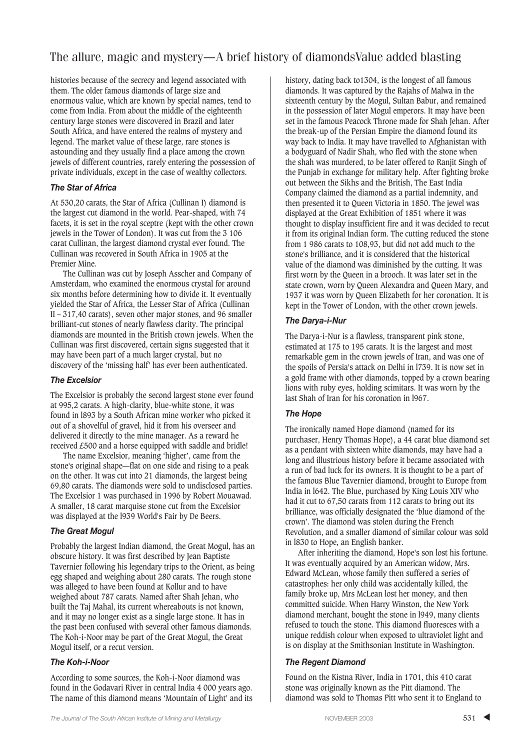## The allure, magic and mystery—A brief history of diamondsValue added blasting

histories because of the secrecy and legend associated with them. The older famous diamonds of large size and enormous value, which are known by special names, tend to come from India. From about the middle of the eighteenth century large stones were discovered in Brazil and later South Africa, and have entered the realms of mystery and legend. The market value of these large, rare stones is astounding and they usually find a place among the crown jewels of different countries, rarely entering the possession of private individuals, except in the case of wealthy collectors.

#### *The Star of Africa*

At 530,20 carats, the Star of Africa (Cullinan I) diamond is the largest cut diamond in the world. Pear-shaped, with 74 facets, it is set in the royal sceptre (kept with the other crown jewels in the Tower of London). It was cut from the 3 106 carat Cullinan, the largest diamond crystal ever found. The Cullinan was recovered in South Africa in 1905 at the Premier Mine.

The Cullinan was cut by Joseph Asscher and Company of Amsterdam, who examined the enormous crystal for around six months before determining how to divide it. It eventually yielded the Star of Africa, the Lesser Star of Africa (Cullinan II – 317,40 carats), seven other major stones, and 96 smaller brilliant-cut stones of nearly flawless clarity. The principal diamonds are mounted in the British crown jewels. When the Cullinan was first discovered, certain signs suggested that it may have been part of a much larger crystal, but no discovery of the 'missing half' has ever been authenticated.

#### *The Excelsior*

The Excelsior is probably the second largest stone ever found at 995,2 carats. A high-clarity, blue-white stone, it was found in l893 by a South African mine worker who picked it out of a shovelful of gravel, hid it from his overseer and delivered it directly to the mine manager. As a reward he received £500 and a horse equipped with saddle and bridle!

The name Excelsior, meaning 'higher', came from the stone's original shape—flat on one side and rising to a peak on the other. It was cut into 21 diamonds, the largest being 69,80 carats. The diamonds were sold to undisclosed parties. The Excelsior 1 was purchased in 1996 by Robert Mouawad. A smaller, 18 carat marquise stone cut from the Excelsior was displayed at the l939 World's Fair by De Beers.

#### *The Great Mogul*

Probably the largest Indian diamond, the Great Mogul, has an obscure history. It was first described by Jean Baptiste Tavernier following his legendary trips to the Orient, as being egg shaped and weighing about 280 carats. The rough stone was alleged to have been found at Kollur and to have weighed about 787 carats. Named after Shah Jehan, who built the Taj Mahal, its current whereabouts is not known, and it may no longer exist as a single large stone. It has in the past been confused with several other famous diamonds. The Koh-i-Noor may be part of the Great Mogul, the Great Mogul itself, or a recut version.

#### *The Koh-i-Noor*

According to some sources, the Koh-i-Noor diamond was found in the Godavari River in central India 4 000 years ago. The name of this diamond means 'Mountain of Light' and its

history, dating back to1304, is the longest of all famous diamonds. It was captured by the Rajahs of Malwa in the sixteenth century by the Mogul, Sultan Babur, and remained in the possession of later Mogul emperors. It may have been set in the famous Peacock Throne made for Shah Jehan. After the break-up of the Persian Empire the diamond found its way back to India. It may have travelled to Afghanistan with a bodyguard of Nadir Shah, who fled with the stone when the shah was murdered, to be later offered to Ranjit Singh of the Punjab in exchange for military help. After fighting broke out between the Sikhs and the British, The East India Company claimed the diamond as a partial indemnity, and then presented it to Queen Victoria in 1850. The jewel was displayed at the Great Exhibition of 1851 where it was thought to display insufficient fire and it was decided to recut it from its original Indian form. The cutting reduced the stone from 1 986 carats to 108,93, but did not add much to the stone's brilliance, and it is considered that the historical value of the diamond was diminished by the cutting. It was first worn by the Queen in a brooch. It was later set in the state crown, worn by Queen Alexandra and Queen Mary, and 1937 it was worn by Queen Elizabeth for her coronation. It is kept in the Tower of London, with the other crown jewels.

#### *The Darya-i-Nur*

The Darya-i-Nur is a flawless, transparent pink stone, estimated at 175 to 195 carats. It is the largest and most remarkable gem in the crown jewels of Iran, and was one of the spoils of Persia's attack on Delhi in l739. It is now set in a gold frame with other diamonds, topped by a crown bearing lions with ruby eyes, holding scimitars. It was worn by the last Shah of Iran for his coronation in l967.

#### *The Hope*

The ironically named Hope diamond (named for its purchaser, Henry Thomas Hope), a 44 carat blue diamond set as a pendant with sixteen white diamonds, may have had a long and illustrious history before it became associated with a run of bad luck for its owners. It is thought to be a part of the famous Blue Tavernier diamond, brought to Europe from India in l642. The Blue, purchased by King Louis XIV who had it cut to 67,50 carats from 112 carats to bring out its brilliance, was officially designated the 'blue diamond of the crown'. The diamond was stolen during the French Revolution, and a smaller diamond of similar colour was sold in l830 to Hope, an English banker.

After inheriting the diamond, Hope's son lost his fortune. It was eventually acquired by an American widow, Mrs. Edward McLean, whose family then suffered a series of catastrophes: her only child was accidentally killed, the family broke up, Mrs McLean lost her money, and then committed suicide. When Harry Winston, the New York diamond merchant, bought the stone in l949, many clients refused to touch the stone. This diamond fluoresces with a unique reddish colour when exposed to ultraviolet light and is on display at the Smithsonian Institute in Washington.

#### *The Regent Diamond*

Found on the Kistna River, India in 1701, this 410 carat stone was originally known as the Pitt diamond. The diamond was sold to Thomas Pitt who sent it to England to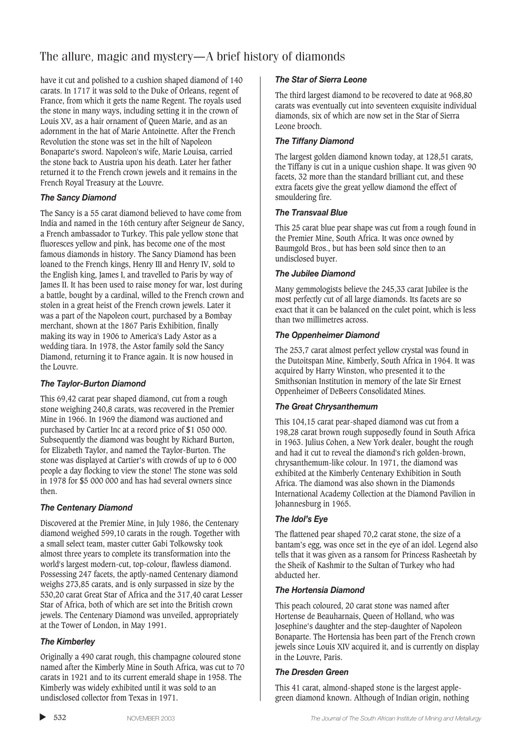## The allure, magic and mystery—A brief history of diamonds

have it cut and polished to a cushion shaped diamond of 140 carats. In 1717 it was sold to the Duke of Orleans, regent of France, from which it gets the name Regent. The royals used the stone in many ways, including setting it in the crown of Louis XV, as a hair ornament of Queen Marie, and as an adornment in the hat of Marie Antoinette. After the French Revolution the stone was set in the hilt of Napoleon Bonaparte's sword. Napoleon's wife, Marie Louisa, carried the stone back to Austria upon his death. Later her father returned it to the French crown jewels and it remains in the French Royal Treasury at the Louvre.

#### *The Sancy Diamond*

The Sancy is a 55 carat diamond believed to have come from India and named in the 16th century after Seigneur de Sancy, a French ambassador to Turkey. This pale yellow stone that fluoresces yellow and pink, has become one of the most famous diamonds in history. The Sancy Diamond has been loaned to the French kings, Henry III and Henry IV, sold to the English king, James I, and travelled to Paris by way of James II. It has been used to raise money for war, lost during a battle, bought by a cardinal, willed to the French crown and stolen in a great heist of the French crown jewels. Later it was a part of the Napoleon court, purchased by a Bombay merchant, shown at the 1867 Paris Exhibition, finally making its way in 1906 to America's Lady Astor as a wedding tiara. In 1978, the Astor family sold the Sancy Diamond, returning it to France again. It is now housed in the Louvre.

#### *The Taylor-Burton Diamond*

This 69,42 carat pear shaped diamond, cut from a rough stone weighing 240,8 carats, was recovered in the Premier Mine in 1966. In 1969 the diamond was auctioned and purchased by Cartier Inc at a record price of \$1 050 000. Subsequently the diamond was bought by Richard Burton, for Elizabeth Taylor, and named the Taylor-Burton. The stone was displayed at Cartier's with crowds of up to 6 000 people a day flocking to view the stone! The stone was sold in 1978 for \$5 000 000 and has had several owners since then.

#### *The Centenary Diamond*

Discovered at the Premier Mine, in July 1986, the Centenary diamond weighed 599,10 carats in the rough. Together with a small select team, master cutter Gabi Tolkowsky took almost three years to complete its transformation into the world's largest modern-cut, top-colour, flawless diamond. Possessing 247 facets, the aptly-named Centenary diamond weighs 273,85 carats, and is only surpassed in size by the 530,20 carat Great Star of Africa and the 317,40 carat Lesser Star of Africa, both of which are set into the British crown jewels. The Centenary Diamond was unveiled, appropriately at the Tower of London, in May 1991.

#### *The Kimberley*

Originally a 490 carat rough, this champagne coloured stone named after the Kimberly Mine in South Africa, was cut to 70 carats in 1921 and to its current emerald shape in 1958. The Kimberly was widely exhibited until it was sold to an undisclosed collector from Texas in 1971.

#### *The Star of Sierra Leone*

The third largest diamond to be recovered to date at 968,80 carats was eventually cut into seventeen exquisite individual diamonds, six of which are now set in the Star of Sierra Leone brooch.

#### *The Tiffany Diamond*

The largest golden diamond known today, at 128,51 carats, the Tiffany is cut in a unique cushion shape. It was given 90 facets, 32 more than the standard brilliant cut, and these extra facets give the great yellow diamond the effect of smouldering fire.

#### *The Transvaal Blue*

This 25 carat blue pear shape was cut from a rough found in the Premier Mine, South Africa. It was once owned by Baumgold Bros., but has been sold since then to an undisclosed buyer.

#### *The Jubilee Diamond*

Many gemmologists believe the 245,33 carat Jubilee is the most perfectly cut of all large diamonds. Its facets are so exact that it can be balanced on the culet point, which is less than two millimetres across.

#### *The Oppenheimer Diamond*

The 253,7 carat almost perfect yellow crystal was found in the Dutoitspan Mine, Kimberly, South Africa in 1964. It was acquired by Harry Winston, who presented it to the Smithsonian Institution in memory of the late Sir Ernest Oppenheimer of DeBeers Consolidated Mines.

#### *The Great Chrysanthemum*

This 104,15 carat pear-shaped diamond was cut from a 198,28 carat brown rough supposedly found in South Africa in 1963. Julius Cohen, a New York dealer, bought the rough and had it cut to reveal the diamond's rich golden-brown, chrysanthemum-like colour. In 1971, the diamond was exhibited at the Kimberly Centenary Exhibition in South Africa. The diamond was also shown in the Diamonds International Academy Collection at the Diamond Pavilion in Johannesburg in 1965.

#### *The Idol's Eye*

The flattened pear shaped 70,2 carat stone, the size of a bantam's egg, was once set in the eye of an idol. Legend also tells that it was given as a ransom for Princess Rasheetah by the Sheik of Kashmir to the Sultan of Turkey who had abducted her.

#### *The Hortensia Diamond*

This peach coloured, 20 carat stone was named after Hortense de Beauharnais, Queen of Holland, who was Josephine's daughter and the step-daughter of Napoleon Bonaparte. The Hortensia has been part of the French crown jewels since Louis XIV acquired it, and is currently on display in the Louvre, Paris.

#### *The Dresden Green*

This 41 carat, almond-shaped stone is the largest applegreen diamond known. Although of Indian origin, nothing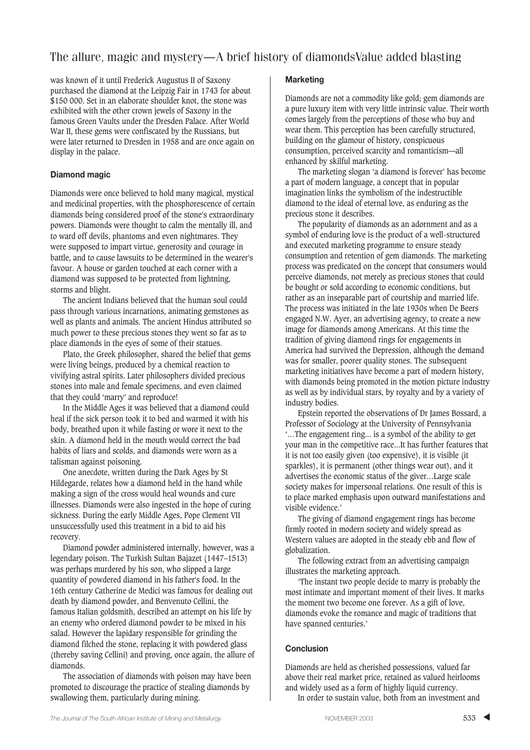## The allure, magic and mystery—A brief history of diamondsValue added blasting

was known of it until Frederick Augustus II of Saxony purchased the diamond at the Leipzig Fair in 1743 for about \$150 000. Set in an elaborate shoulder knot, the stone was exhibited with the other crown jewels of Saxony in the famous Green Vaults under the Dresden Palace. After World War II, these gems were confiscated by the Russians, but were later returned to Dresden in 1958 and are once again on display in the palace.

#### **Diamond magic**

Diamonds were once believed to hold many magical, mystical and medicinal properties, with the phosphorescence of certain diamonds being considered proof of the stone's extraordinary powers. Diamonds were thought to calm the mentally ill, and to ward off devils, phantoms and even nightmares. They were supposed to impart virtue, generosity and courage in battle, and to cause lawsuits to be determined in the wearer's favour. A house or garden touched at each corner with a diamond was supposed to be protected from lightning, storms and blight.

The ancient Indians believed that the human soul could pass through various incarnations, animating gemstones as well as plants and animals. The ancient Hindus attributed so much power to these precious stones they went so far as to place diamonds in the eyes of some of their statues.

Plato, the Greek philosopher, shared the belief that gems were living beings, produced by a chemical reaction to vivifying astral spirits. Later philosophers divided precious stones into male and female specimens, and even claimed that they could 'marry' and reproduce!

In the Middle Ages it was believed that a diamond could heal if the sick person took it to bed and warmed it with his body, breathed upon it while fasting or wore it next to the skin. A diamond held in the mouth would correct the bad habits of liars and scolds, and diamonds were worn as a talisman against poisoning.

One anecdote, written during the Dark Ages by St Hildegarde, relates how a diamond held in the hand while making a sign of the cross would heal wounds and cure illnesses. Diamonds were also ingested in the hope of curing sickness. During the early Middle Ages, Pope Clement VII unsuccessfully used this treatment in a bid to aid his recovery.

Diamond powder administered internally, however, was a legendary poison. The Turkish Sultan Bajazet (1447–1513) was perhaps murdered by his son, who slipped a large quantity of powdered diamond in his father's food. In the 16th century Catherine de Medici was famous for dealing out death by diamond powder, and Benvenuto Cellini, the famous Italian goldsmith, described an attempt on his life by an enemy who ordered diamond powder to be mixed in his salad. However the lapidary responsible for grinding the diamond filched the stone, replacing it with powdered glass (thereby saving Cellini) and proving, once again, the allure of diamonds.

The association of diamonds with poison may have been promoted to discourage the practice of stealing diamonds by swallowing them, particularly during mining.

#### **Marketing**

Diamonds are not a commodity like gold; gem diamonds are a pure luxury item with very little intrinsic value. Their worth comes largely from the perceptions of those who buy and wear them. This perception has been carefully structured, building on the glamour of history, conspicuous consumption, perceived scarcity and romanticism—all enhanced by skilful marketing.

The marketing slogan 'a diamond is forever' has become a part of modern language, a concept that in popular imagination links the symbolism of the indestructible diamond to the ideal of eternal love, as enduring as the precious stone it describes.

The popularity of diamonds as an adornment and as a symbol of enduring love is the product of a well-structured and executed marketing programme to ensure steady consumption and retention of gem diamonds. The marketing process was predicated on the concept that consumers would perceive diamonds, not merely as precious stones that could be bought or sold according to economic conditions, but rather as an inseparable part of courtship and married life. The process was initiated in the late 1930s when De Beers engaged N.W. Ayer, an advertising agency, to create a new image for diamonds among Americans. At this time the tradition of giving diamond rings for engagements in America had survived the Depression, although the demand was for smaller, poorer quality stones. The subsequent marketing initiatives have become a part of modern history, with diamonds being promoted in the motion picture industry as well as by individual stars, by royalty and by a variety of industry bodies.

Epstein reported the observations of Dr James Bossard, a Professor of Sociology at the University of Pennsylvania '…The engagement ring... is a symbol of the ability to get your man in the competitive race...It has further features that it is not too easily given (too expensive), it is visible (it sparkles), it is permanent (other things wear out), and it advertises the economic status of the giver…Large scale society makes for impersonal relations. One result of this is to place marked emphasis upon outward manifestations and visible evidence.'

The giving of diamond engagement rings has become firmly rooted in modern society and widely spread as Western values are adopted in the steady ebb and flow of globalization.

The following extract from an advertising campaign illustrates the marketing approach.

'The instant two people decide to marry is probably the most intimate and important moment of their lives. It marks the moment two become one forever. As a gift of love, diamonds evoke the romance and magic of traditions that have spanned centuries.'

#### **Conclusion**

Diamonds are held as cherished possessions, valued far above their real market price, retained as valued heirlooms and widely used as a form of highly liquid currency.

In order to sustain value, both from an investment and